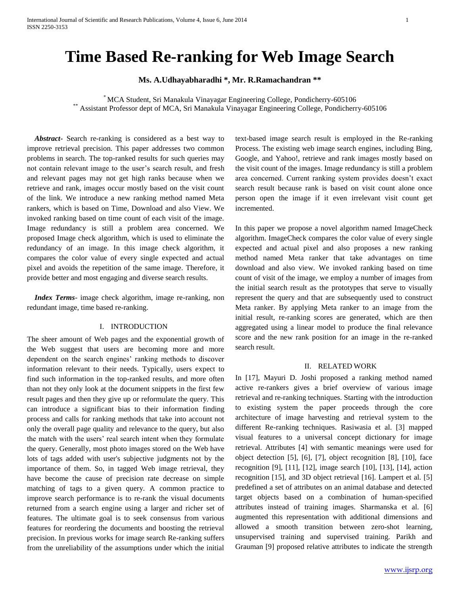# **Time Based Re-ranking for Web Image Search**

**Ms. A.Udhayabharadhi \*, Mr. R.Ramachandran \*\***

\* MCA Student, Sri Manakula Vinayagar Engineering College, Pondicherry-605106 \*\* Assistant Professor dept of MCA, Sri Manakula Vinayagar Engineering College, Pondicherry-605106

 *Abstract***-** Search re-ranking is considered as a best way to improve retrieval precision. This paper addresses two common problems in search. The top-ranked results for such queries may not contain relevant image to the user's search result, and fresh and relevant pages may not get high ranks because when we retrieve and rank, images occur mostly based on the visit count of the link. We introduce a new ranking method named Meta rankers, which is based on Time, Download and also View. We invoked ranking based on time count of each visit of the image. Image redundancy is still a problem area concerned. We proposed Image check algorithm, which is used to eliminate the redundancy of an image. In this image check algorithm, it compares the color value of every single expected and actual pixel and avoids the repetition of the same image. Therefore, it provide better and most engaging and diverse search results.

 *Index Terms*- image check algorithm, image re-ranking, non redundant image, time based re-ranking.

# I. INTRODUCTION

The sheer amount of Web pages and the exponential growth of the Web suggest that users are becoming more and more dependent on the search engines' ranking methods to discover information relevant to their needs. Typically, users expect to find such information in the top-ranked results, and more often than not they only look at the document snippets in the first few result pages and then they give up or reformulate the query. This can introduce a significant bias to their information finding process and calls for ranking methods that take into account not only the overall page quality and relevance to the query, but also the match with the users' real search intent when they formulate the query. Generally, most photo images stored on the Web have lots of tags added with user's subjective judgments not by the importance of them. So, in tagged Web image retrieval, they have become the cause of precision rate decrease on simple matching of tags to a given query. A common practice to improve search performance is to re-rank the visual documents returned from a search engine using a larger and richer set of features. The ultimate goal is to seek consensus from various features for reordering the documents and boosting the retrieval precision. In previous works for image search Re-ranking suffers from the unreliability of the assumptions under which the initial text-based image search result is employed in the Re-ranking Process. The existing web image search engines, including Bing, Google, and Yahoo!, retrieve and rank images mostly based on the visit count of the images. Image redundancy is still a problem area concerned. Current ranking system provides doesn't exact search result because rank is based on visit count alone once person open the image if it even irrelevant visit count get incremented.

In this paper we propose a novel algorithm named ImageCheck algorithm. ImageCheck compares the color value of every single expected and actual pixel and also proposes a new ranking method named Meta ranker that take advantages on time download and also view. We invoked ranking based on time count of visit of the image, we employ a number of images from the initial search result as the prototypes that serve to visually represent the query and that are subsequently used to construct Meta ranker. By applying Meta ranker to an image from the initial result, re-ranking scores are generated, which are then aggregated using a linear model to produce the final relevance score and the new rank position for an image in the re-ranked search result.

# II. RELATED WORK

In [17], Mayuri D. Joshi proposed a ranking method named active re-rankers gives a brief overview of various image retrieval and re-ranking techniques. Starting with the introduction to existing system the paper proceeds through the core architecture of image harvesting and retrieval system to the different Re-ranking techniques. Rasiwasia et al. [3] mapped visual features to a universal concept dictionary for image retrieval. Attributes [4] with semantic meanings were used for object detection [5], [6], [7], object recognition [8], [10], face recognition [9], [11], [12], image search [10], [13], [14], action recognition [15], and 3D object retrieval [16]. Lampert et al. [5] predefined a set of attributes on an animal database and detected target objects based on a combination of human-specified attributes instead of training images. Sharmanska et al. [6] augmented this representation with additional dimensions and allowed a smooth transition between zero-shot learning, unsupervised training and supervised training. Parikh and Grauman [9] proposed relative attributes to indicate the strength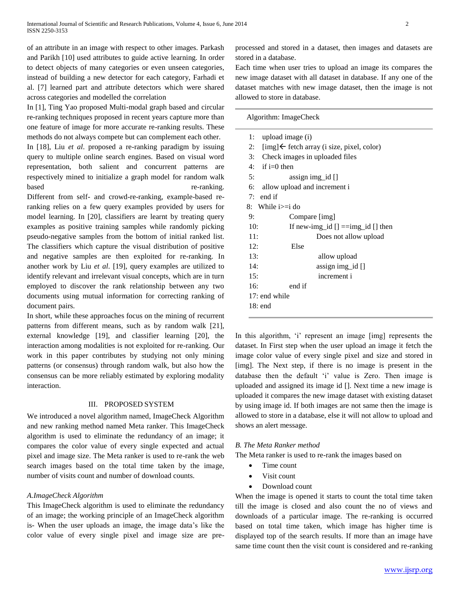of an attribute in an image with respect to other images. Parkash and Parikh [10] used attributes to guide active learning. In order to detect objects of many categories or even unseen categories, instead of building a new detector for each category, Farhadi et al. [7] learned part and attribute detectors which were shared across categories and modelled the correlation

In [1], Ting Yao proposed Multi-modal graph based and circular re-ranking techniques proposed in recent years capture more than one feature of image for more accurate re-ranking results. These methods do not always compete but can complement each other.

In [18], Liu *et al*. proposed a re-ranking paradigm by issuing query to multiple online search engines. Based on visual word representation, both salient and concurrent patterns are respectively mined to initialize a graph model for random walk based re-ranking.

Different from self- and crowd-re-ranking, example-based reranking relies on a few query examples provided by users for model learning. In [20], classifiers are learnt by treating query examples as positive training samples while randomly picking pseudo-negative samples from the bottom of initial ranked list. The classifiers which capture the visual distribution of positive and negative samples are then exploited for re-ranking. In another work by Liu *et al*. [19], query examples are utilized to identify relevant and irrelevant visual concepts, which are in turn employed to discover the rank relationship between any two documents using mutual information for correcting ranking of document pairs.

In short, while these approaches focus on the mining of recurrent patterns from different means, such as by random walk [21], external knowledge [19], and classifier learning [20], the interaction among modalities is not exploited for re-ranking. Our work in this paper contributes by studying not only mining patterns (or consensus) through random walk, but also how the consensus can be more reliably estimated by exploring modality interaction.

## III. PROPOSED SYSTEM

We introduced a novel algorithm named, ImageCheck Algorithm and new ranking method named Meta ranker. This ImageCheck algorithm is used to eliminate the redundancy of an image; it compares the color value of every single expected and actual pixel and image size. The Meta ranker is used to re-rank the web search images based on the total time taken by the image, number of visits count and number of download counts.

# *A.ImageCheck Algorithm*

This ImageCheck algorithm is used to eliminate the redundancy of an image; the working principle of an ImageCheck algorithm is- When the user uploads an image, the image data's like the color value of every single pixel and image size are preprocessed and stored in a dataset, then images and datasets are stored in a database.

Each time when user tries to upload an image its compares the new image dataset with all dataset in database. If any one of the dataset matches with new image dataset, then the image is not allowed to store in database.

Algorithm: ImageCheck

| 1:  | upload image (i)                           |
|-----|--------------------------------------------|
| 2:  | [img] ← fetch array (i size, pixel, color) |
| 3:  | Check images in uploaded files             |
| 4:  | if $i=0$ then                              |
| 5:  | $\text{assign img_id}$                     |
| 6:  | allow upload and increment i               |
| 7:  | end if                                     |
| 8:  | While $i>=i$ do                            |
| 9:  | Compare [img]                              |
| 10: | If new-img_id $[] = \text{img_id} []$ then |
| 11: | Does not allow upload                      |
| 12: | Else                                       |
| 13: | allow upload                               |
| 14: | assign img_id []                           |
| 15: | increment i                                |
| 16: | end if                                     |
|     | $17:$ end while                            |
|     | $18:$ end                                  |
|     |                                            |

In this algorithm, 'i' represent an image [img] represents the dataset. In First step when the user upload an image it fetch the image color value of every single pixel and size and stored in [img]. The Next step, if there is no image is present in the database then the default 'i' value is Zero. Then image is uploaded and assigned its image id []. Next time a new image is uploaded it compares the new image dataset with existing dataset by using image id. If both images are not same then the image is allowed to store in a database, else it will not allow to upload and shows an alert message.

# *B. The Meta Ranker method*

The Meta ranker is used to re-rank the images based on

- Time count
- Visit count
- Download count

When the image is opened it starts to count the total time taken till the image is closed and also count the no of views and downloads of a particular image. The re-ranking is occurred based on total time taken, which image has higher time is displayed top of the search results. If more than an image have same time count then the visit count is considered and re-ranking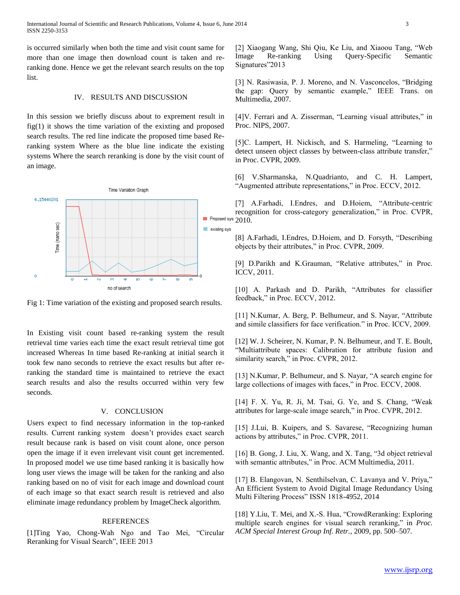is occurred similarly when both the time and visit count same for more than one image then download count is taken and reranking done. Hence we get the relevant search results on the top list.

## IV. RESULTS AND DISCUSSION

In this session we briefly discuss about to exprement result in fig(1) it shows the time variation of the exixting and proposed search results. The red line indicate the proposed time based Reranking system Where as the blue line indicate the existing systems Where the search reranking is done by the visit count of an image.



Fig 1: Time variation of the existing and proposed search results.

In Existing visit count based re-ranking system the result retrieval time varies each time the exact result retrieval time got increased Whereas In time based Re-ranking at initial search it took few nano seconds to retrieve the exact results but after reranking the standard time is maintained to retrieve the exact search results and also the results occurred within very few seconds.

## V. CONCLUSION

Users expect to find necessary information in the top-ranked results. Current ranking system doesn't provides exact search result because rank is based on visit count alone, once person open the image if it even irrelevant visit count get incremented. In proposed model we use time based ranking it is basically how long user views the image will be taken for the ranking and also ranking based on no of visit for each image and download count of each image so that exact search result is retrieved and also eliminate image redundancy problem by ImageCheck algorithm.

## REFERENCES

[1]Ting Yao, Chong-Wah Ngo and Tao Mei, "Circular Reranking for Visual Search", IEEE 2013

[2] Xiaogang Wang, Shi Qiu, Ke Liu, and Xiaoou Tang, "Web Image Re-ranking Using Query-Specific Semantic Signatures"2013

[3] N. Rasiwasia, P. J. Moreno, and N. Vasconcelos, "Bridging the gap: Query by semantic example," IEEE Trans. on Multimedia, 2007.

[4]V. Ferrari and A. Zisserman, "Learning visual attributes," in Proc. NIPS, 2007.

[5]C. Lampert, H. Nickisch, and S. Harmeling, "Learning to detect unseen object classes by between-class attribute transfer," in Proc. CVPR, 2009.

[6] V.Sharmanska, N.Quadrianto, and C. H. Lampert, "Augmented attribute representations," in Proc. ECCV, 2012.

[7] A.Farhadi, I.Endres, and D.Hoiem, "Attribute-centric recognition for cross-category generalization," in Proc. CVPR,  $\blacksquare$  Proposed sys 2010.

> [8] A.Farhadi, I.Endres, D.Hoiem, and D. Forsyth, "Describing objects by their attributes," in Proc. CVPR, 2009.

> [9] D.Parikh and K.Grauman, "Relative attributes," in Proc. ICCV, 2011.

> [10] A. Parkash and D. Parikh, "Attributes for classifier feedback," in Proc. ECCV, 2012.

> [11] N.Kumar, A. Berg, P. Belhumeur, and S. Nayar, "Attribute and simile classifiers for face verification." in Proc. ICCV, 2009.

> [12] W. J. Scheirer, N. Kumar, P. N. Belhumeur, and T. E. Boult, "Multiattribute spaces: Calibration for attribute fusion and similarity search," in Proc. CVPR, 2012.

> [13] N.Kumar, P. Belhumeur, and S. Nayar, "A search engine for large collections of images with faces," in Proc. ECCV, 2008.

> [14] F. X. Yu, R. Ji, M. Tsai, G. Ye, and S. Chang, "Weak attributes for large-scale image search," in Proc. CVPR, 2012.

> [15] J.Lui, B. Kuipers, and S. Savarese, "Recognizing human actions by attributes," in Proc. CVPR, 2011.

> [16] B. Gong, J. Liu, X. Wang, and X. Tang, "3d object retrieval with semantic attributes," in Proc. ACM Multimedia, 2011.

> [17] B. Elangovan, N. Senthilselvan, C. Lavanya and V. Priya," An Efficient System to Avoid Digital Image Redundancy Using Multi Filtering Process" ISSN 1818-4952, 2014

> [18] Y.Liu, T. Mei, and X.-S. Hua, "CrowdReranking: Exploring multiple search engines for visual search reranking," in *Proc. ACM Special Interest Group Inf. Retr.*, 2009, pp. 500–507.